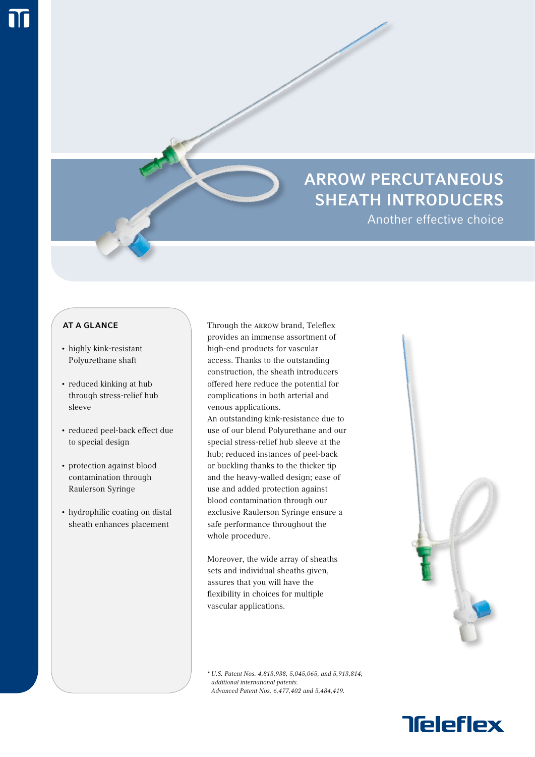# ARROW PERCUTANEOUS SHEATH INTRODUCERS

Another effective choice

## **AT A GLANCE**

- • highly kink-resistant Polyurethane shaft
- • reduced kinking at hub through stress-relief hub sleeve
- • reduced peel-back effect due to special design
- protection against blood contamination through Raulerson Syringe
- hydrophilic coating on distal sheath enhances placement

Through the ARROW brand, Teleflex provides an immense assortment of high-end products for vascular access. Thanks to the outstanding construction, the sheath introducers offered here reduce the potential for complications in both arterial and venous applications.

An outstanding kink-resistance due to use of our blend Polyurethane and our special stress-relief hub sleeve at the hub; reduced instances of peel-back or buckling thanks to the thicker tip and the heavy-walled design; ease of use and added protection against blood contamination through our exclusive Raulerson Syringe ensure a safe performance throughout the whole procedure.

Moreover, the wide array of sheaths sets and individual sheaths given, assures that you will have the flexibility in choices for multiple vascular applications.

\* U.S. Patent Nos. 4,813,938, 5,045,065, and 5,913,814; additional international patents. Advanced Patent Nos. 6,477,402 and 5,484,419.



**Teleflex**